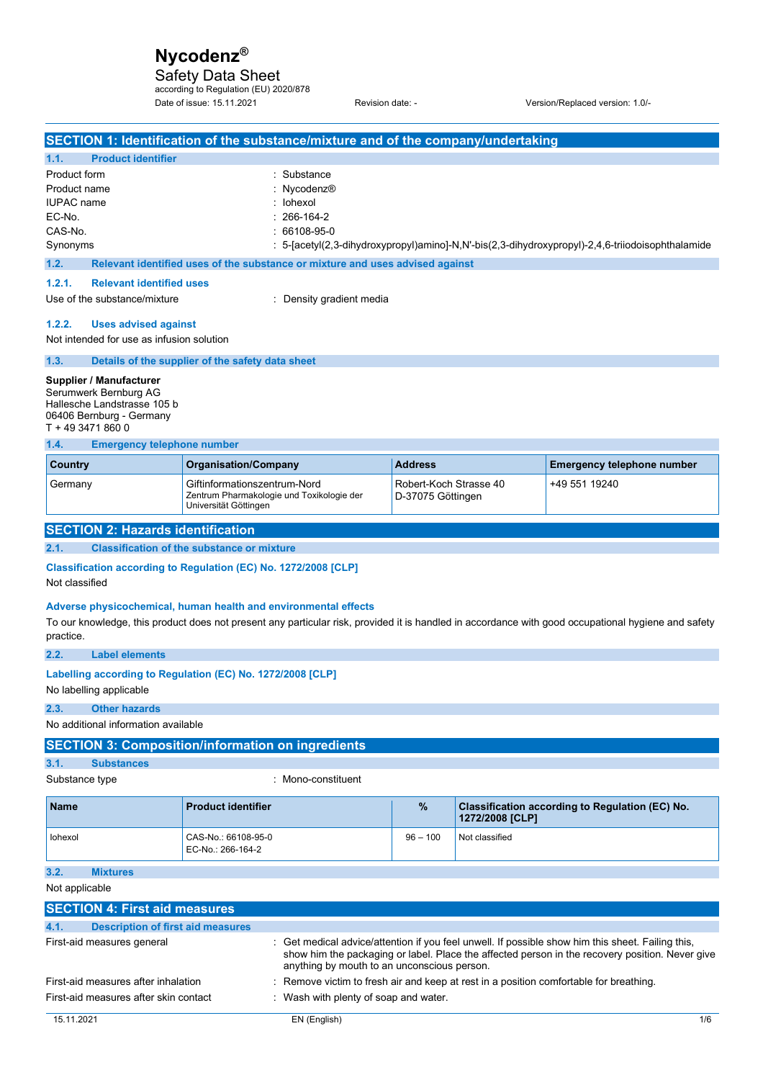Safety Data Sheet according to Regulation (EU) 2020/878

Date of issue: 15.11.2021 Revision date: - Version/Replaced version: 1.0/-

| SECTION 1: Identification of the substance/mixture and of the company/undertaking                                                                                 |                                                                                                    |                                                                               |                                             |                 |                                                                                                                                                                                                      |
|-------------------------------------------------------------------------------------------------------------------------------------------------------------------|----------------------------------------------------------------------------------------------------|-------------------------------------------------------------------------------|---------------------------------------------|-----------------|------------------------------------------------------------------------------------------------------------------------------------------------------------------------------------------------------|
| <b>Product identifier</b><br>1.1.                                                                                                                                 |                                                                                                    |                                                                               |                                             |                 |                                                                                                                                                                                                      |
| Product form                                                                                                                                                      |                                                                                                    | : Substance                                                                   |                                             |                 |                                                                                                                                                                                                      |
| Product name                                                                                                                                                      |                                                                                                    | : Nycodenz®                                                                   |                                             |                 |                                                                                                                                                                                                      |
| <b>IUPAC</b> name                                                                                                                                                 |                                                                                                    | : lohexol                                                                     |                                             |                 |                                                                                                                                                                                                      |
| EC-No.                                                                                                                                                            |                                                                                                    | 266-164-2                                                                     |                                             |                 |                                                                                                                                                                                                      |
| CAS-No.                                                                                                                                                           |                                                                                                    | 66108-95-0                                                                    |                                             |                 |                                                                                                                                                                                                      |
| Synonyms                                                                                                                                                          |                                                                                                    |                                                                               |                                             |                 | : 5-[acetyl(2,3-dihydroxypropyl)amino]-N,N'-bis(2,3-dihydroxypropyl)-2,4,6-triiodoisophthalamide                                                                                                     |
| 1.2.                                                                                                                                                              |                                                                                                    | Relevant identified uses of the substance or mixture and uses advised against |                                             |                 |                                                                                                                                                                                                      |
| 1.2.1.<br><b>Relevant identified uses</b>                                                                                                                         |                                                                                                    |                                                                               |                                             |                 |                                                                                                                                                                                                      |
|                                                                                                                                                                   | Use of the substance/mixture<br>: Density gradient media                                           |                                                                               |                                             |                 |                                                                                                                                                                                                      |
| 1.2.2.<br><b>Uses advised against</b><br>Not intended for use as infusion solution                                                                                |                                                                                                    |                                                                               |                                             |                 |                                                                                                                                                                                                      |
| 1.3.                                                                                                                                                              | Details of the supplier of the safety data sheet                                                   |                                                                               |                                             |                 |                                                                                                                                                                                                      |
| Supplier / Manufacturer<br>Serumwerk Bernburg AG<br>Hallesche Landstrasse 105 b<br>06406 Bernburg - Germany<br>T + 49 3471 860 0                                  |                                                                                                    |                                                                               |                                             |                 |                                                                                                                                                                                                      |
| 1.4.<br><b>Emergency telephone number</b><br><b>Country</b>                                                                                                       | <b>Organisation/Company</b>                                                                        |                                                                               | <b>Address</b>                              |                 | <b>Emergency telephone number</b>                                                                                                                                                                    |
|                                                                                                                                                                   |                                                                                                    |                                                                               |                                             |                 |                                                                                                                                                                                                      |
| Germany                                                                                                                                                           | Giftinformationszentrum-Nord<br>Zentrum Pharmakologie und Toxikologie der<br>Universität Göttingen |                                                                               | Robert-Koch Strasse 40<br>D-37075 Göttingen |                 | +49 551 19240                                                                                                                                                                                        |
| <b>SECTION 2: Hazards identification</b>                                                                                                                          |                                                                                                    |                                                                               |                                             |                 |                                                                                                                                                                                                      |
| 2.1.                                                                                                                                                              | <b>Classification of the substance or mixture</b>                                                  |                                                                               |                                             |                 |                                                                                                                                                                                                      |
| Classification according to Regulation (EC) No. 1272/2008 [CLP]<br>Not classified<br>Adverse physicochemical, human health and environmental effects<br>practice. |                                                                                                    |                                                                               |                                             |                 | To our knowledge, this product does not present any particular risk, provided it is handled in accordance with good occupational hygiene and safety                                                  |
| 2.2.<br><b>Label elements</b>                                                                                                                                     |                                                                                                    |                                                                               |                                             |                 |                                                                                                                                                                                                      |
| Labelling according to Regulation (EC) No. 1272/2008 [CLP]<br>No labelling applicable                                                                             |                                                                                                    |                                                                               |                                             |                 |                                                                                                                                                                                                      |
| 2.3.<br><b>Other hazards</b>                                                                                                                                      |                                                                                                    |                                                                               |                                             |                 |                                                                                                                                                                                                      |
| No additional information available                                                                                                                               |                                                                                                    |                                                                               |                                             |                 |                                                                                                                                                                                                      |
| <b>SECTION 3: Composition/information on ingredients</b>                                                                                                          |                                                                                                    |                                                                               |                                             |                 |                                                                                                                                                                                                      |
| 3.1.<br><b>Substances</b>                                                                                                                                         |                                                                                                    |                                                                               |                                             |                 |                                                                                                                                                                                                      |
| Substance type                                                                                                                                                    |                                                                                                    | : Mono-constituent                                                            |                                             |                 |                                                                                                                                                                                                      |
| Name                                                                                                                                                              | <b>Product identifier</b>                                                                          |                                                                               | %                                           | 1272/2008 [CLP] | Classification according to Regulation (EC) No.                                                                                                                                                      |
| lohexol                                                                                                                                                           | CAS-No.: 66108-95-0<br>EC-No.: 266-164-2                                                           |                                                                               | $96 - 100$                                  | Not classified  |                                                                                                                                                                                                      |
| 3.2.<br><b>Mixtures</b>                                                                                                                                           |                                                                                                    |                                                                               |                                             |                 |                                                                                                                                                                                                      |
| Not applicable                                                                                                                                                    |                                                                                                    |                                                                               |                                             |                 |                                                                                                                                                                                                      |
| <b>SECTION 4: First aid measures</b>                                                                                                                              |                                                                                                    |                                                                               |                                             |                 |                                                                                                                                                                                                      |
| 4.1.<br><b>Description of first aid measures</b>                                                                                                                  |                                                                                                    |                                                                               |                                             |                 |                                                                                                                                                                                                      |
|                                                                                                                                                                   |                                                                                                    |                                                                               |                                             |                 |                                                                                                                                                                                                      |
| First-aid measures general                                                                                                                                        |                                                                                                    | anything by mouth to an unconscious person.                                   |                                             |                 | : Get medical advice/attention if you feel unwell. If possible show him this sheet. Failing this,<br>show him the packaging or label. Place the affected person in the recovery position. Never give |
| First-aid measures after inhalation                                                                                                                               |                                                                                                    |                                                                               |                                             |                 | Remove victim to fresh air and keep at rest in a position comfortable for breathing.                                                                                                                 |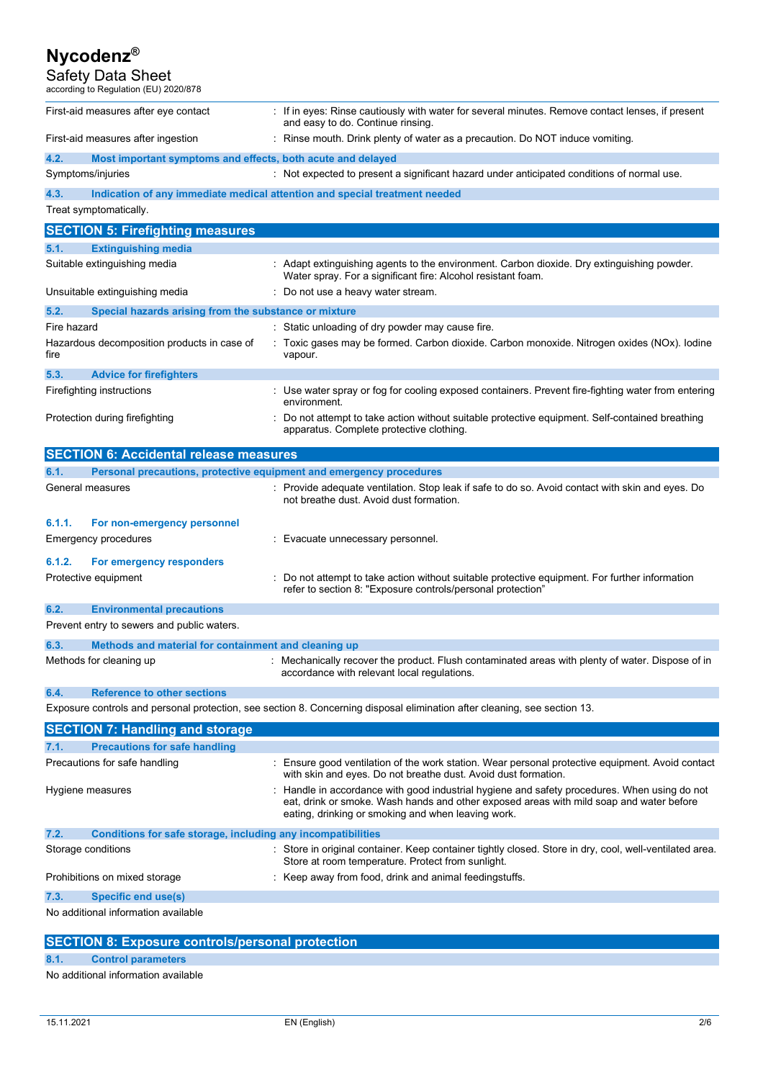### Safety Data Sheet

according to Regulation (EU) 2020/878 First-aid measures after eye contact : If in eyes: Rinse cautiously with water for several minutes. Remove contact lenses, if present and easy to do. Continue rinsing.

First-aid measures after ingestion : Rinse mouth. Drink plenty of water as a precaution. Do NOT induce vomiting. **4.2. Most important symptoms and effects, both acute and delayed**  Symptoms/injuries **interpretent assumption** : Not expected to present a significant hazard under anticipated conditions of normal use. **4.3. Indication of any immediate medical attention and special treatment needed**  Treat symptomatically. **SECTION 5: Firefighting measures 5.1. Extinguishing media**  Suitable extinguishing media : Adapt extinguishing agents to the environment. Carbon dioxide. Dry extinguishing powder. Water spray. For a significant fire: Alcohol resistant foam. Unsuitable extinguishing media : Do not use a heavy water stream. **5.2. Special hazards arising from the substance or mixture**  Fire hazard **in the static universe of the static unloading of dry powder may cause fire.** Hazardous decomposition products in case of fire : Toxic gases may be formed. Carbon dioxide. Carbon monoxide. Nitrogen oxides (NOx). Iodine vapour. **5.3. Advice for firefighters**  Firefighting instructions **interproduce the COS** : Use water spray or fog for cooling exposed containers. Prevent fire-fighting water from entering environment. Protection during firefighting statempt to take action without suitable protective equipment. Self-contained breathing apparatus. Complete protective clothing. **SECTION 6: Accidental release measures 6.1. Personal precautions, protective equipment and emergency procedures**  General measures **interprove and the Control**: Provide adequate ventilation. Stop leak if safe to do so. Avoid contact with skin and eyes. Do not breathe dust. Avoid dust formation. **6.1.1. For non-emergency personnel**  Emergency procedures **in the contract of the Contract Evacuate unnecessary personnel. 6.1.2. For emergency responders**  Protective equipment **interest in the suitable** protective equipment. For further information in the suitable protective equipment. For further information refer to section 8: "Exposure controls/personal protection" **6.2. Environmental precautions**  Prevent entry to sewers and public waters.

| 6.3. | Methods and material for containment and cleaning up |                                                                                                                                                 |
|------|------------------------------------------------------|-------------------------------------------------------------------------------------------------------------------------------------------------|
|      | Methods for cleaning up                              | : Mechanically recover the product. Flush contaminated areas with plenty of water. Dispose of in<br>accordance with relevant local regulations. |

### **6.4. Reference to other sections**

Exposure controls and personal protection, see section 8. Concerning disposal elimination after cleaning, see section 13.

| <b>SECTION 7: Handling and storage</b>                               |                                                                                                                                                                                                                                               |
|----------------------------------------------------------------------|-----------------------------------------------------------------------------------------------------------------------------------------------------------------------------------------------------------------------------------------------|
| 7.1.<br><b>Precautions for safe handling</b>                         |                                                                                                                                                                                                                                               |
| Precautions for safe handling                                        | : Ensure good ventilation of the work station. Wear personal protective equipment. Avoid contact<br>with skin and eyes. Do not breathe dust. Avoid dust formation.                                                                            |
| Hygiene measures                                                     | : Handle in accordance with good industrial hygiene and safety procedures. When using do not<br>eat, drink or smoke. Wash hands and other exposed areas with mild soap and water before<br>eating, drinking or smoking and when leaving work. |
| 7.2.<br>Conditions for safe storage, including any incompatibilities |                                                                                                                                                                                                                                               |
| Storage conditions                                                   | : Store in original container. Keep container tightly closed. Store in dry, cool, well-ventilated area.<br>Store at room temperature. Protect from sunlight.                                                                                  |
| Prohibitions on mixed storage                                        | : Keep away from food, drink and animal feedingstuffs.                                                                                                                                                                                        |
| 7.3.<br>Specific end use(s)                                          |                                                                                                                                                                                                                                               |
| No additional information available                                  |                                                                                                                                                                                                                                               |

### **SECTION 8: Exposure controls/personal protection**

### **8.1. Control parameters**

No additional information available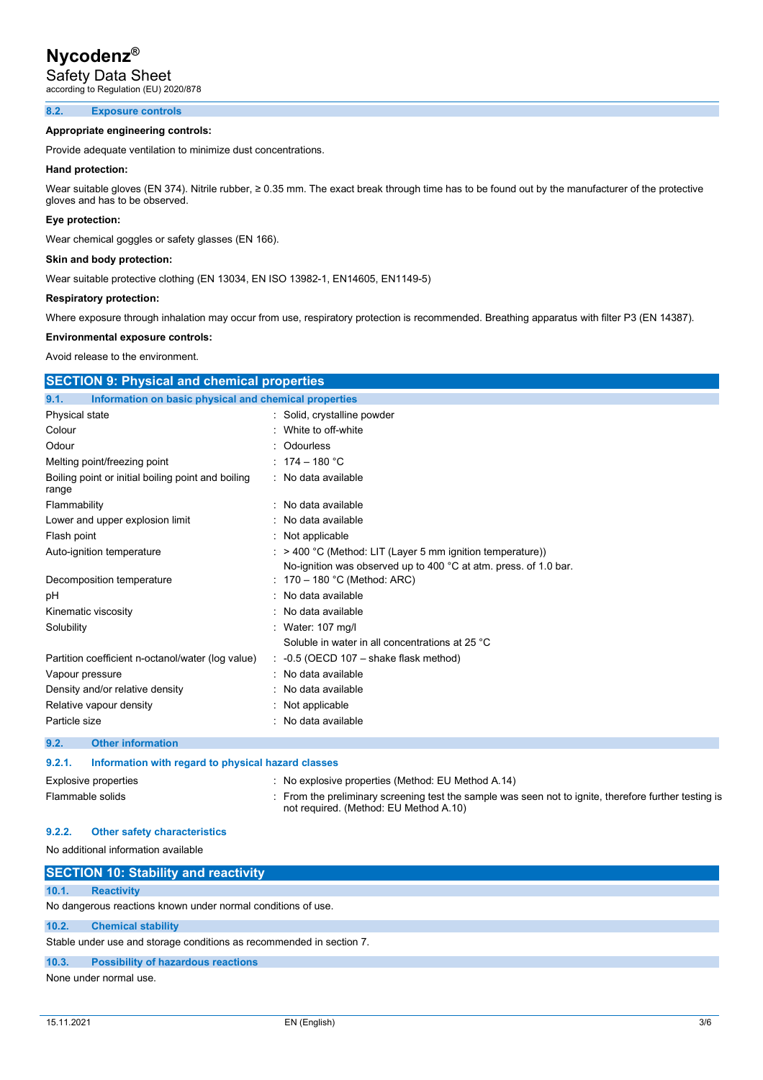Safety Data Sheet

according to Regulation (EU) 2020/878

### **8.2. Exposure controls**

### **Appropriate engineering controls:**

Provide adequate ventilation to minimize dust concentrations.

### **Hand protection:**

Wear suitable gloves (EN 374). Nitrile rubber, ≥ 0.35 mm. The exact break through time has to be found out by the manufacturer of the protective gloves and has to be observed.

### **Eye protection:**

Wear chemical goggles or safety glasses (EN 166).

### **Skin and body protection:**

Wear suitable protective clothing (EN 13034, EN ISO 13982-1, EN14605, EN1149-5)

### **Respiratory protection:**

Where exposure through inhalation may occur from use, respiratory protection is recommended. Breathing apparatus with filter P3 (EN 14387).

### **Environmental exposure controls:**

Avoid release to the environment.

| <b>SECTION 9: Physical and chemical properties</b>            |                                                                       |
|---------------------------------------------------------------|-----------------------------------------------------------------------|
| 9.1.<br>Information on basic physical and chemical properties |                                                                       |
| Physical state                                                | : Solid, crystalline powder                                           |
| Colour                                                        | White to off-white                                                    |
| Odour                                                         | Odourless                                                             |
| Melting point/freezing point                                  | : $174 - 180 °C$                                                      |
| Boiling point or initial boiling point and boiling<br>range   | : No data available                                                   |
| Flammability                                                  | : No data available                                                   |
| Lower and upper explosion limit                               | No data available                                                     |
| Flash point                                                   | : Not applicable                                                      |
| Auto-ignition temperature                                     | $\therefore$ > 400 °C (Method: LIT (Layer 5 mm ignition temperature)) |
|                                                               | No-ignition was observed up to 400 °C at atm. press. of 1.0 bar.      |
| Decomposition temperature                                     | 170 - 180 °C (Method: ARC)                                            |
| рH                                                            | No data available                                                     |
| Kinematic viscosity                                           | No data available                                                     |
| Solubility                                                    | : Water: 107 mg/l                                                     |
|                                                               | Soluble in water in all concentrations at 25 °C                       |
| Partition coefficient n-octanol/water (log value)             | $-0.5$ (OECD 107 – shake flask method)                                |
| Vapour pressure                                               | No data available                                                     |
| Density and/or relative density                               | No data available                                                     |
| Relative vapour density                                       | Not applicable                                                        |
| Particle size                                                 | : No data available                                                   |
| <b>Other information</b><br>9.2.                              |                                                                       |

### **9.2.1. Information with regard to physical hazard classes**

Explosive properties : No explosive properties (Method: EU Method A.14)

Flammable solids **included in the preliminary screening** test the sample was seen not to ignite, therefore further testing is not required. (Method: EU Method A.10)

### **9.2.2. Other safety characteristics**

### No additional information available

|       | <b>SECTION 10: Stability and reactivity</b>                          |
|-------|----------------------------------------------------------------------|
| 10.1. | <b>Reactivity</b>                                                    |
|       | No dangerous reactions known under normal conditions of use.         |
| 10.2. | <b>Chemical stability</b>                                            |
|       | Stable under use and storage conditions as recommended in section 7. |
| 10.3. | <b>Possibility of hazardous reactions</b>                            |
|       | None under normal use.                                               |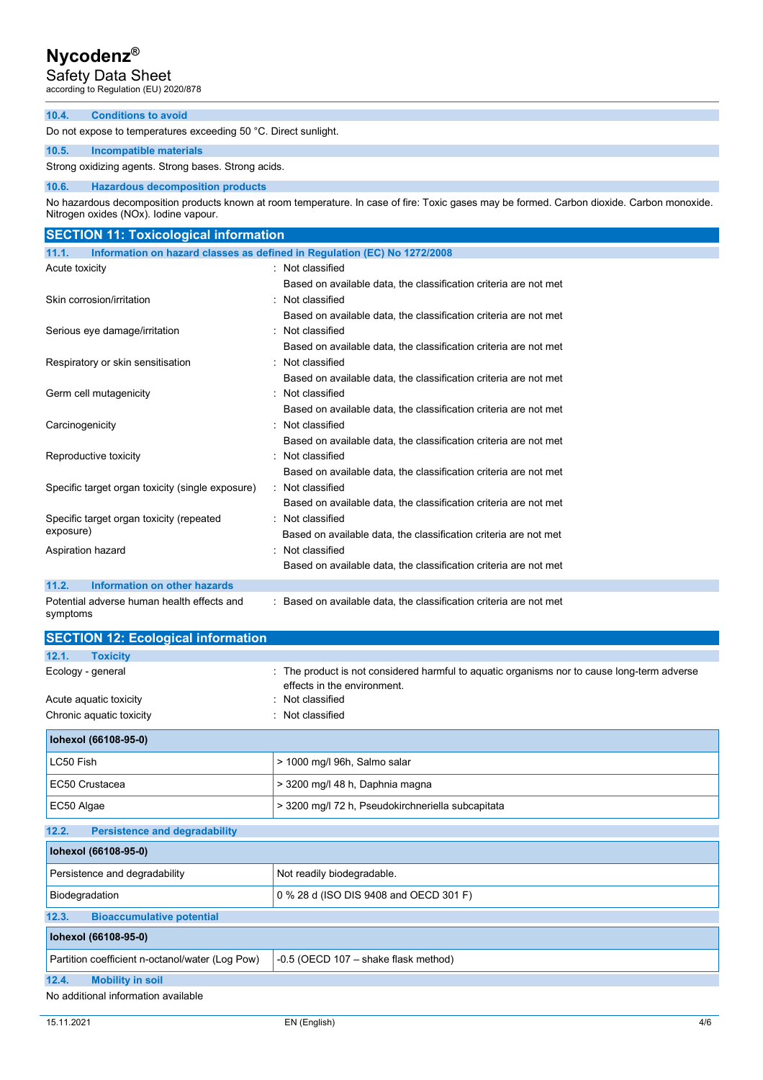# Safety Data Sheet according to Regulation (EU) 2020/878

### **10.4. Conditions to avoid**

Do not expose to temperatures exceeding 50 °C. Direct sunlight.

### **10.5. Incompatible materials**

Strong oxidizing agents. Strong bases. Strong acids.

### **10.6. Hazardous decomposition products**

No hazardous decomposition products known at room temperature. In case of fire: Toxic gases may be formed. Carbon dioxide. Carbon monoxide. Nitrogen oxides (NOx). Iodine vapour.

| <b>SECTION 11: Toxicological information</b>           |                                                                          |
|--------------------------------------------------------|--------------------------------------------------------------------------|
| 11.1.                                                  | Information on hazard classes as defined in Regulation (EC) No 1272/2008 |
| Acute toxicity                                         | : Not classified                                                         |
|                                                        | Based on available data, the classification criteria are not met         |
| Skin corrosion/irritation                              | : Not classified                                                         |
|                                                        | Based on available data, the classification criteria are not met         |
| Serious eye damage/irritation                          | : Not classified                                                         |
|                                                        | Based on available data, the classification criteria are not met         |
| Respiratory or skin sensitisation                      | : Not classified                                                         |
|                                                        | Based on available data, the classification criteria are not met         |
| Germ cell mutagenicity                                 | : Not classified                                                         |
|                                                        | Based on available data, the classification criteria are not met         |
| Carcinogenicity                                        | : Not classified                                                         |
|                                                        | Based on available data, the classification criteria are not met         |
| Reproductive toxicity                                  | Not classified                                                           |
|                                                        | Based on available data, the classification criteria are not met         |
| Specific target organ toxicity (single exposure)       | : Not classified                                                         |
|                                                        | Based on available data, the classification criteria are not met         |
| Specific target organ toxicity (repeated               | : Not classified                                                         |
| exposure)                                              | Based on available data, the classification criteria are not met         |
| Aspiration hazard                                      | Not classified                                                           |
|                                                        | Based on available data, the classification criteria are not met         |
| <b>Information on other hazards</b><br>11.2.           |                                                                          |
| Potential adverse human health effects and<br>symptoms | Based on available data, the classification criteria are not met         |

| <b>SECTION 12: Ecological information</b>       |                                                                                                                          |
|-------------------------------------------------|--------------------------------------------------------------------------------------------------------------------------|
| <b>Toxicity</b><br>12.1.                        |                                                                                                                          |
| Ecology - general                               | The product is not considered harmful to aquatic organisms nor to cause long-term adverse<br>effects in the environment. |
| Acute aquatic toxicity                          | Not classified                                                                                                           |
| Chronic aquatic toxicity                        | Not classified                                                                                                           |
| Iohexol (66108-95-0)                            |                                                                                                                          |
| LC50 Fish                                       | > 1000 mg/l 96h, Salmo salar                                                                                             |
| EC50 Crustacea                                  | > 3200 mg/l 48 h, Daphnia magna                                                                                          |
| EC50 Algae                                      | > 3200 mg/l 72 h, Pseudokirchneriella subcapitata                                                                        |
| <b>Persistence and degradability</b><br>12.2.   |                                                                                                                          |
| lohexol (66108-95-0)                            |                                                                                                                          |
| Persistence and degradability                   | Not readily biodegradable.                                                                                               |
| Biodegradation                                  | 0 % 28 d (ISO DIS 9408 and OECD 301 F)                                                                                   |
| <b>Bioaccumulative potential</b><br>12.3.       |                                                                                                                          |
| lohexol (66108-95-0)                            |                                                                                                                          |
| Partition coefficient n-octanol/water (Log Pow) | $-0.5$ (OECD 107 $-$ shake flask method)                                                                                 |
| 12.4.<br><b>Mobility in soil</b>                |                                                                                                                          |
| No additional information available             |                                                                                                                          |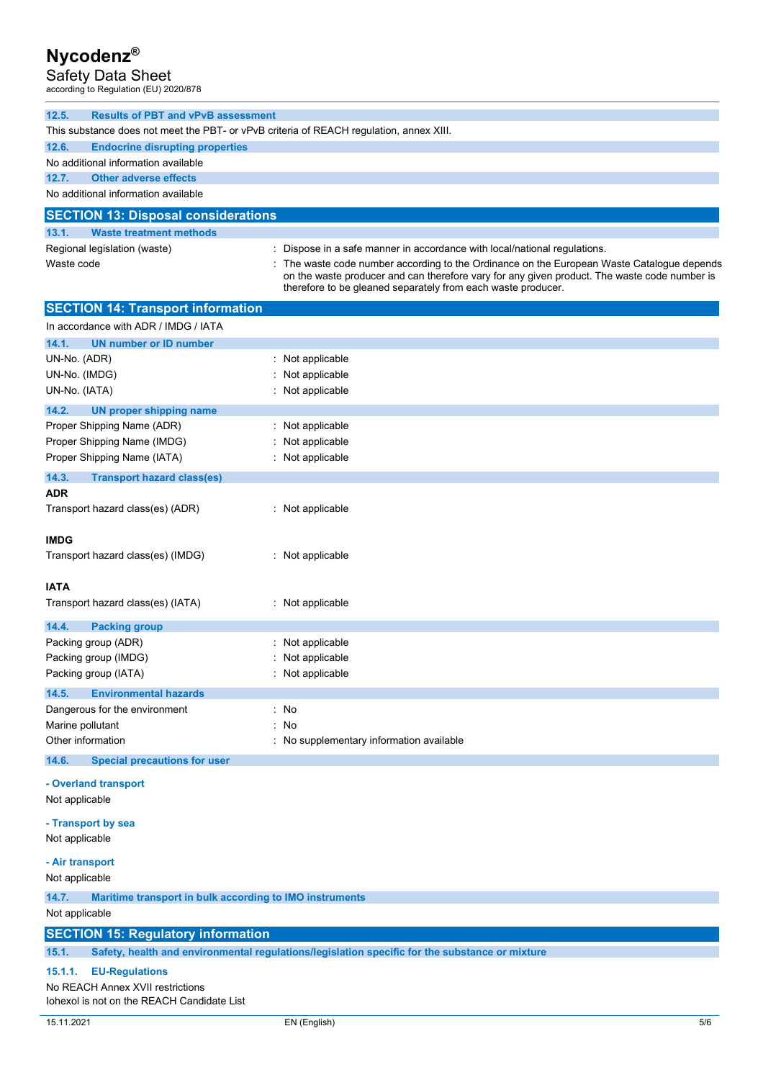Safety Data Sheet according to Regulation (EU) 2020/878

| 12.5.<br><b>Results of PBT and vPvB assessment</b>                                      |                                                                                                                                                                                          |
|-----------------------------------------------------------------------------------------|------------------------------------------------------------------------------------------------------------------------------------------------------------------------------------------|
| This substance does not meet the PBT- or vPvB criteria of REACH regulation, annex XIII. |                                                                                                                                                                                          |
| 12.6.<br><b>Endocrine disrupting properties</b>                                         |                                                                                                                                                                                          |
| No additional information available                                                     |                                                                                                                                                                                          |
| 12.7.<br><b>Other adverse effects</b>                                                   |                                                                                                                                                                                          |
| No additional information available                                                     |                                                                                                                                                                                          |
|                                                                                         |                                                                                                                                                                                          |
| <b>SECTION 13: Disposal considerations</b>                                              |                                                                                                                                                                                          |
| 13.1.<br><b>Waste treatment methods</b>                                                 |                                                                                                                                                                                          |
| Regional legislation (waste)                                                            | Dispose in a safe manner in accordance with local/national regulations.                                                                                                                  |
| Waste code                                                                              | The waste code number according to the Ordinance on the European Waste Catalogue depends<br>on the waste producer and can therefore vary for any given product. The waste code number is |
|                                                                                         | therefore to be gleaned separately from each waste producer.                                                                                                                             |
| <b>SECTION 14: Transport information</b>                                                |                                                                                                                                                                                          |
| In accordance with ADR / IMDG / IATA                                                    |                                                                                                                                                                                          |
| 14.1.<br><b>UN number or ID number</b>                                                  |                                                                                                                                                                                          |
| UN-No. (ADR)                                                                            | : Not applicable                                                                                                                                                                         |
| UN-No. (IMDG)                                                                           | Not applicable                                                                                                                                                                           |
| UN-No. (IATA)                                                                           | Not applicable                                                                                                                                                                           |
| 14.2.<br><b>UN proper shipping name</b>                                                 |                                                                                                                                                                                          |
| Proper Shipping Name (ADR)                                                              | Not applicable                                                                                                                                                                           |
| Proper Shipping Name (IMDG)                                                             | Not applicable                                                                                                                                                                           |
| Proper Shipping Name (IATA)                                                             | Not applicable                                                                                                                                                                           |
| 14.3.<br><b>Transport hazard class(es)</b>                                              |                                                                                                                                                                                          |
| <b>ADR</b>                                                                              |                                                                                                                                                                                          |
| Transport hazard class(es) (ADR)                                                        | : Not applicable                                                                                                                                                                         |
|                                                                                         |                                                                                                                                                                                          |
| <b>IMDG</b>                                                                             |                                                                                                                                                                                          |
| Transport hazard class(es) (IMDG)                                                       | Not applicable                                                                                                                                                                           |
|                                                                                         |                                                                                                                                                                                          |
| <b>IATA</b>                                                                             |                                                                                                                                                                                          |
| Transport hazard class(es) (IATA)                                                       | Not applicable                                                                                                                                                                           |
| 14.4.                                                                                   |                                                                                                                                                                                          |
| <b>Packing group</b><br>Packing group (ADR)                                             | Not applicable                                                                                                                                                                           |
| Packing group (IMDG)                                                                    | Not applicable                                                                                                                                                                           |
| Packing group (IATA)                                                                    | Not applicable                                                                                                                                                                           |
|                                                                                         |                                                                                                                                                                                          |
| 14.5.<br><b>Environmental hazards</b>                                                   |                                                                                                                                                                                          |
| Dangerous for the environment<br>Marine pollutant                                       | : No<br>No<br>÷                                                                                                                                                                          |
| Other information                                                                       | No supplementary information available                                                                                                                                                   |
|                                                                                         |                                                                                                                                                                                          |
| 14.6.<br><b>Special precautions for user</b>                                            |                                                                                                                                                                                          |
| - Overland transport                                                                    |                                                                                                                                                                                          |
| Not applicable                                                                          |                                                                                                                                                                                          |
| - Transport by sea                                                                      |                                                                                                                                                                                          |
| Not applicable                                                                          |                                                                                                                                                                                          |
|                                                                                         |                                                                                                                                                                                          |
| - Air transport                                                                         |                                                                                                                                                                                          |
| Not applicable                                                                          |                                                                                                                                                                                          |
| 14.7.<br>Maritime transport in bulk according to IMO instruments                        |                                                                                                                                                                                          |
| Not applicable                                                                          |                                                                                                                                                                                          |
| <b>SECTION 15: Regulatory information</b>                                               |                                                                                                                                                                                          |
| 15.1.                                                                                   | Safety, health and environmental regulations/legislation specific for the substance or mixture                                                                                           |
| <b>EU-Regulations</b><br>15.1.1.                                                        |                                                                                                                                                                                          |
|                                                                                         |                                                                                                                                                                                          |

No REACH Annex XVII restrictions Iohexol is not on the REACH Candidate List